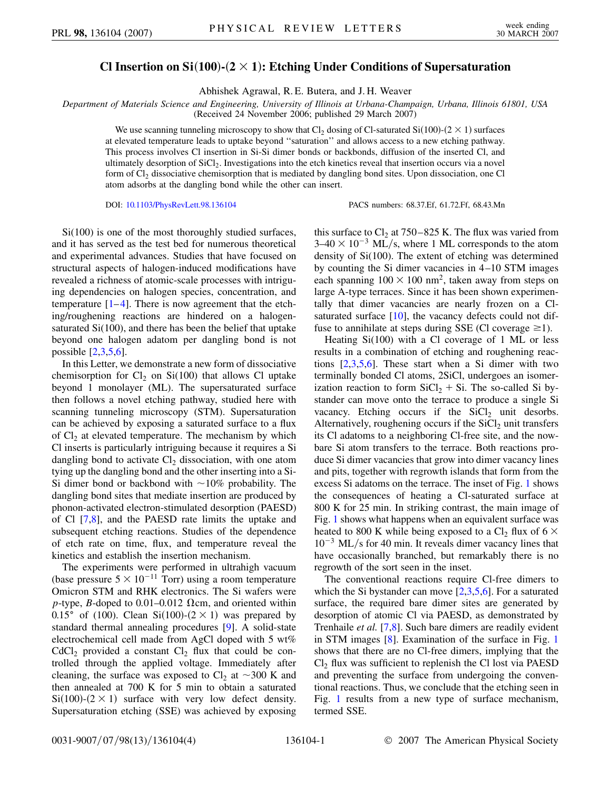## **Cl Insertion** on  $Si(100)$ <sup> $-$ </sup> $(2 \times 1)$ : Etching Under Conditions of Supersaturation

Abhishek Agrawal, R. E. Butera, and J. H. Weaver

Department of Materials Science and Engineering, University of Illinois at Urbana-Champaign, Urbana, Illinois 61801, USA

(Received 24 November 2006; published 29 March 2007)

We use scanning tunneling microscopy to show that  $Cl_2$  dosing of Cl-saturated Si $(100)-(2 \times 1)$  surfaces at elevated temperature leads to uptake beyond ''saturation'' and allows access to a new etching pathway. This process involves Cl insertion in Si-Si dimer bonds or backbonds, diffusion of the inserted Cl, and ultimately desorption of SiCl<sub>2</sub>. Investigations into the etch kinetics reveal that insertion occurs via a novel form of  $Cl_2$  dissociative chemisorption that is mediated by dangling bond sites. Upon dissociation, one Cl atom adsorbs at the dangling bond while the other can insert.

DOI: [10.1103/PhysRevLett.98.136104](http://dx.doi.org/10.1103/PhysRevLett.98.136104) PACS numbers: 68.37.Ef, 61.72.Ff, 68.43.Mn

Si(100) is one of the most thoroughly studied surfaces, and it has served as the test bed for numerous theoretical and experimental advances. Studies that have focused on structural aspects of halogen-induced modifications have revealed a richness of atomic-scale processes with intriguing dependencies on halogen species, concentration, and temperature  $[1-4]$  $[1-4]$  $[1-4]$ . There is now agreement that the etching/roughening reactions are hindered on a halogensaturated Si(100), and there has been the belief that uptake beyond one halogen adatom per dangling bond is not possible [[2,](#page-3-2)[3](#page-3-3)[,5,](#page-3-4)[6](#page-3-5)].

In this Letter, we demonstrate a new form of dissociative chemisorption for  $Cl_2$  on  $Si(100)$  that allows Cl uptake beyond 1 monolayer (ML). The supersaturated surface then follows a novel etching pathway, studied here with scanning tunneling microscopy (STM). Supersaturation can be achieved by exposing a saturated surface to a flux of  $Cl<sub>2</sub>$  at elevated temperature. The mechanism by which Cl inserts is particularly intriguing because it requires a Si dangling bond to activate  $Cl<sub>2</sub>$  dissociation, with one atom tying up the dangling bond and the other inserting into a Si-Si dimer bond or backbond with  $\sim$ 10% probability. The dangling bond sites that mediate insertion are produced by phonon-activated electron-stimulated desorption (PAESD) of Cl [[7,](#page-3-6)[8\]](#page-3-7), and the PAESD rate limits the uptake and subsequent etching reactions. Studies of the dependence of etch rate on time, flux, and temperature reveal the kinetics and establish the insertion mechanism.

The experiments were performed in ultrahigh vacuum (base pressure  $5 \times 10^{-11}$  Torr) using a room temperature Omicron STM and RHK electronics. The Si wafers were  $p$ -type, *B*-doped to 0.01–0.012  $\Omega$ cm, and oriented within 0.15° of (100). Clean Si(100)-(2  $\times$  1) was prepared by standard thermal annealing procedures [[9\]](#page-3-8). A solid-state electrochemical cell made from AgCl doped with 5 wt%  $CdCl<sub>2</sub>$  provided a constant  $Cl<sub>2</sub>$  flux that could be controlled through the applied voltage. Immediately after cleaning, the surface was exposed to  $Cl_2$  at  $\sim$ 300 K and then annealed at 700 K for 5 min to obtain a saturated  $Si(100)$ - $(2 \times 1)$  surface with very low defect density. Supersaturation etching (SSE) was achieved by exposing this surface to  $Cl_2$  at 750–825 K. The flux was varied from  $3-40 \times 10^{-3}$  ML/s, where 1 ML corresponds to the atom density of Si(100). The extent of etching was determined by counting the Si dimer vacancies in 4–10 STM images each spanning  $100 \times 100$  nm<sup>2</sup>, taken away from steps on large A-type terraces. Since it has been shown experimentally that dimer vacancies are nearly frozen on a Clsaturated surface [[10](#page-3-9)], the vacancy defects could not diffuse to annihilate at steps during SSE (Cl coverage  $\geq$ 1).

Heating Si(100) with a Cl coverage of 1 ML or less results in a combination of etching and roughening reactions [\[2](#page-3-2)[,3](#page-3-3),[5](#page-3-4),[6\]](#page-3-5). These start when a Si dimer with two terminally bonded Cl atoms, 2SiCl, undergoes an isomerization reaction to form  $SiCl<sub>2</sub> + Si$ . The so-called Si bystander can move onto the terrace to produce a single Si vacancy. Etching occurs if the  $SiCl<sub>2</sub>$  unit desorbs. Alternatively, roughening occurs if the  $SiCl<sub>2</sub>$  unit transfers its Cl adatoms to a neighboring Cl-free site, and the nowbare Si atom transfers to the terrace. Both reactions produce Si dimer vacancies that grow into dimer vacancy lines and pits, together with regrowth islands that form from the excess Si adatoms on the terrace. The inset of Fig. [1](#page-1-0) shows the consequences of heating a Cl-saturated surface at 800 K for 25 min. In striking contrast, the main image of Fig. [1](#page-1-0) shows what happens when an equivalent surface was heated to 800 K while being exposed to a Cl<sub>2</sub> flux of 6  $\times$  $10^{-3}$  ML/s for 40 min. It reveals dimer vacancy lines that have occasionally branched, but remarkably there is no regrowth of the sort seen in the inset.

The conventional reactions require Cl-free dimers to which the Si bystander can move  $[2,3,5,6]$  $[2,3,5,6]$  $[2,3,5,6]$  $[2,3,5,6]$  $[2,3,5,6]$  $[2,3,5,6]$ . For a saturated surface, the required bare dimer sites are generated by desorption of atomic Cl via PAESD, as demonstrated by Trenhaile *et al.* [[7,](#page-3-6)[8\]](#page-3-7). Such bare dimers are readily evident in STM images [\[8\]](#page-3-7). Examination of the surface in Fig. [1](#page-1-0) shows that there are no Cl-free dimers, implying that the  $Cl<sub>2</sub>$  flux was sufficient to replenish the Cl lost via PAESD and preventing the surface from undergoing the conventional reactions. Thus, we conclude that the etching seen in Fig. [1](#page-1-0) results from a new type of surface mechanism, termed SSE.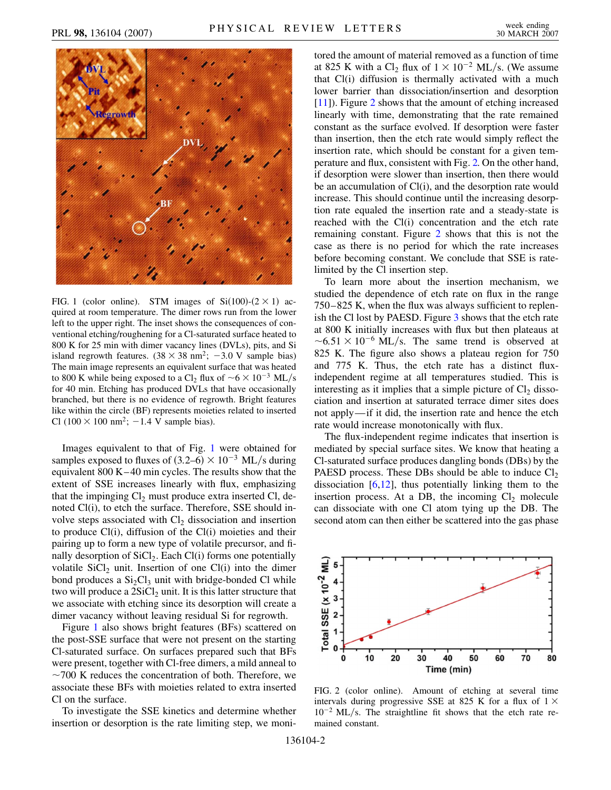<span id="page-1-0"></span>

FIG. 1 (color online). STM images of  $Si(100)-(2 \times 1)$  acquired at room temperature. The dimer rows run from the lower left to the upper right. The inset shows the consequences of conventional etching/roughening for a Cl-saturated surface heated to 800 K for 25 min with dimer vacancy lines (DVLs), pits, and Si island regrowth features.  $(38 \times 38 \text{ nm}^2; -3.0 \text{ V} \text{ sample bias})$ The main image represents an equivalent surface that was heated to 800 K while being exposed to a Cl<sub>2</sub> flux of  $\sim$  6  $\times$  10<sup>-3</sup> ML/s for 40 min. Etching has produced DVLs that have occasionally branched, but there is no evidence of regrowth. Bright features like within the circle (BF) represents moieties related to inserted Cl  $(100 \times 100 \text{ nm}^2$ ;  $-1.4 \text{ V sample bias})$ .

Images equivalent to that of Fig. 1 were obtained for samples exposed to fluxes of  $(3.2–6) \times 10^{-3}$  ML/s during equivalent 800 K–40 min cycles. The results show that the extent of SSE increases linearly with flux, emphasizing that the impinging  $Cl_2$  must produce extra inserted Cl, denoted Cl(i), to etch the surface. Therefore, SSE should involve steps associated with  $Cl<sub>2</sub>$  dissociation and insertion to produce Cl(i), diffusion of the Cl(i) moieties and their pairing up to form a new type of volatile precursor, and finally desorption of  $SiCl<sub>2</sub>$ . Each Cl(i) forms one potentially volatile  $SiCl<sub>2</sub>$  unit. Insertion of one  $Cl(i)$  into the dimer bond produces a  $Si<sub>2</sub>Cl<sub>3</sub>$  unit with bridge-bonded Cl while two will produce a  $2SiCl<sub>2</sub>$  unit. It is this latter structure that we associate with etching since its desorption will create a dimer vacancy without leaving residual Si for regrowth.

Figure 1 also shows bright features (BFs) scattered on the post-SSE surface that were not present on the starting Cl-saturated surface. On surfaces prepared such that BFs were present, together with Cl-free dimers, a mild anneal to  $\sim$ 700 K reduces the concentration of both. Therefore, we associate these BFs with moieties related to extra inserted Cl on the surface.

To investigate the SSE kinetics and determine whether insertion or desorption is the rate limiting step, we monitored the amount of material removed as a function of time at 825 K with a Cl<sub>2</sub> flux of  $1 \times 10^{-2}$  ML/s. (We assume that Cl(i) diffusion is thermally activated with a much lower barrier than dissociation/insertion and desorption [\[11\]](#page-3-10)). Figure 2 shows that the amount of etching increased linearly with time, demonstrating that the rate remained constant as the surface evolved. If desorption were faster than insertion, then the etch rate would simply reflect the insertion rate, which should be constant for a given temperature and flux, consistent with Fig. 2. On the other hand, if desorption were slower than insertion, then there would be an accumulation of Cl(i), and the desorption rate would increase. This should continue until the increasing desorption rate equaled the insertion rate and a steady-state is reached with the Cl(i) concentration and the etch rate remaining constant. Figure 2 shows that this is not the case as there is no period for which the rate increases before becoming constant. We conclude that SSE is ratelimited by the Cl insertion step.

To learn more about the insertion mechanism, we studied the dependence of etch rate on flux in the range 750–825 K, when the flux was always sufficient to replenish the Cl lost by PAESD. Figure [3](#page-2-0) shows that the etch rate at 800 K initially increases with flux but then plateaus at  $\sim$  6.51  $\times$  10<sup>-6</sup> ML/s. The same trend is observed at 825 K. The figure also shows a plateau region for 750 and 775 K. Thus, the etch rate has a distinct fluxindependent regime at all temperatures studied. This is interesting as it implies that a simple picture of  $Cl_2$  dissociation and insertion at saturated terrace dimer sites does not apply—if it did, the insertion rate and hence the etch rate would increase monotonically with flux.

The flux-independent regime indicates that insertion is mediated by special surface sites. We know that heating a Cl-saturated surface produces dangling bonds (DBs) by the PAESD process. These DBs should be able to induce  $Cl<sub>2</sub>$ dissociation  $[6,12]$  $[6,12]$ , thus potentially linking them to the insertion process. At a DB, the incoming  $Cl<sub>2</sub>$  molecule can dissociate with one Cl atom tying up the DB. The second atom can then either be scattered into the gas phase

<span id="page-1-1"></span>

FIG. 2 (color online). Amount of etching at several time intervals during progressive SSE at 825 K for a flux of  $1 \times$ 10<sup>-2</sup> ML/s. The straightline fit shows that the etch rate remained constant.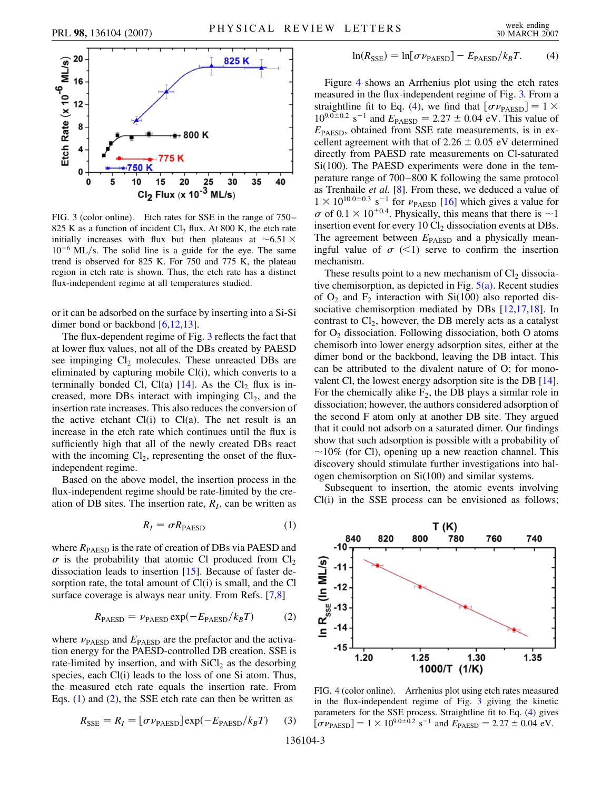<span id="page-2-0"></span>

FIG. 3 (color online). Etch rates for SSE in the range of 750– 825 K as a function of incident  $Cl_2$  flux. At 800 K, the etch rate initially increases with flux but then plateaus at  $\sim 6.51 \times$ 10<sup>-6</sup> ML/s. The solid line is a guide for the eye. The same trend is observed for 825 K. For 750 and 775 K, the plateau region in etch rate is shown. Thus, the etch rate has a distinct flux-independent regime at all temperatures studied.

or it can be adsorbed on the surface by inserting into a Si-Si dimer bond or backbond [\[6,](#page-3-5)[12,](#page-3-11)[13\]](#page-3-12).

The flux-dependent regime of Fig. 3 reflects the fact that at lower flux values, not all of the DBs created by PAESD see impinging  $Cl<sub>2</sub>$  molecules. These unreacted DBs are eliminated by capturing mobile Cl(i), which converts to a terminally bonded Cl, Cl(a)  $[14]$  $[14]$  $[14]$ . As the Cl<sub>2</sub> flux is increased, more DBs interact with impinging  $Cl<sub>2</sub>$ , and the insertion rate increases. This also reduces the conversion of the active etchant  $Cl(i)$  to  $Cl(a)$ . The net result is an increase in the etch rate which continues until the flux is sufficiently high that all of the newly created DBs react with the incoming  $Cl_2$ , representing the onset of the fluxindependent regime.

Based on the above model, the insertion process in the flux-independent regime should be rate-limited by the creation of DB sites. The insertion rate,  $R<sub>I</sub>$ , can be written as

$$
R_I = \sigma R_{\text{PAESD}} \tag{1}
$$

where  $R_{\text{PAESD}}$  is the rate of creation of DBs via PAESD and  $\sigma$  is the probability that atomic Cl produced from Cl<sub>2</sub> dissociation leads to insertion [\[15\]](#page-3-14). Because of faster desorption rate, the total amount of Cl(i) is small, and the Cl surface coverage is always near unity. From Refs. [[7,](#page-3-6)[8\]](#page-3-7)

$$
R_{\text{PAESD}} = \nu_{\text{PAESD}} \exp(-E_{\text{PAESD}}/k_B T) \tag{2}
$$

where  $\nu_{\text{PAESD}}$  and  $E_{\text{PAESD}}$  are the prefactor and the activation energy for the PAESD-controlled DB creation. SSE is rate-limited by insertion, and with  $SiCl<sub>2</sub>$  as the desorbing species, each Cl(i) leads to the loss of one Si atom. Thus, the measured etch rate equals the insertion rate. From Eqs. (1) and (2), the SSE etch rate can then be written as

$$
R_{\text{SSE}} = R_I = [\sigma \nu_{\text{PAESD}}] \exp(-E_{\text{PAESD}}/k_B T) \tag{3}
$$

$$
\ln(R_{\text{SSE}}) = \ln[\sigma \nu_{\text{PAESD}}] - E_{\text{PAESD}}/k_B T. \tag{4}
$$

Figure 4 shows an Arrhenius plot using the etch rates measured in the flux-independent regime of Fig. 3. From a straightline fit to Eq. [\(4\)](#page-1-1), we find that  $[\sigma \nu_{\text{PAFSD}}] = 1 \times$  $10^{9.0 \pm 0.2}$  s<sup>-1</sup> and  $E_{\text{PAESD}} = 2.27 \pm 0.04$  eV. This value of *E*PAESD, obtained from SSE rate measurements, is in excellent agreement with that of  $2.26 \pm 0.05$  eV determined directly from PAESD rate measurements on Cl-saturated Si(100). The PAESD experiments were done in the temperature range of 700–800 K following the same protocol as Trenhaile *et al.* [[8\]](#page-3-7). From these, we deduced a value of  $1 \times 10^{10.0 \pm 0.3}$  s<sup>-1</sup> for  $\nu_{\text{PAESD}}$  [[16\]](#page-3-15) which gives a value for  $\sigma$  of 0.1  $\times$  10<sup> $\pm$ 0.4</sup>. Physically, this means that there is  $\sim$ 1 insertion event for every  $10 \text{ Cl}_2$  dissociation events at DBs. The agreement between  $E_{\text{PAESD}}$  and a physically meaningful value of  $\sigma$   $\ll$ 1) serve to confirm the insertion mechanism.

These results point to a new mechanism of  $Cl<sub>2</sub>$  dissociative chemisorption, as depicted in Fig.  $5(a)$ . Recent studies of  $O_2$  and  $F_2$  interaction with Si(100) also reported dis-sociative chemisorption mediated by DBs [\[12](#page-3-11)[,17](#page-3-17)[,18\]](#page-3-18). In contrast to  $Cl_2$ , however, the DB merely acts as a catalyst for  $O_2$  dissociation. Following dissociation, both O atoms chemisorb into lower energy adsorption sites, either at the dimer bond or the backbond, leaving the DB intact. This can be attributed to the divalent nature of O; for monovalent Cl, the lowest energy adsorption site is the DB [[14\]](#page-3-13). For the chemically alike  $F_2$ , the DB plays a similar role in dissociation; however, the authors considered adsorption of the second F atom only at another DB site. They argued that it could not adsorb on a saturated dimer. Our findings show that such adsorption is possible with a probability of  $\sim$ 10% (for Cl), opening up a new reaction channel. This discovery should stimulate further investigations into halogen chemisorption on Si(100) and similar systems.

Subsequent to insertion, the atomic events involving Cl(i) in the SSE process can be envisioned as follows;



FIG. 4 (color online). Arrhenius plot using etch rates measured in the flux-independent regime of Fig. 3 giving the kinetic parameters for the SSE process. Straightline fit to Eq. [\(4](#page-1-1)) gives  $[\sigma \nu_{\text{PAESD}}] = 1 \times 10^{9.0 \pm 0.2} \text{ s}^{-1}$  and  $E_{\text{PAESD}} = 2.27 \pm 0.04 \text{ eV}.$